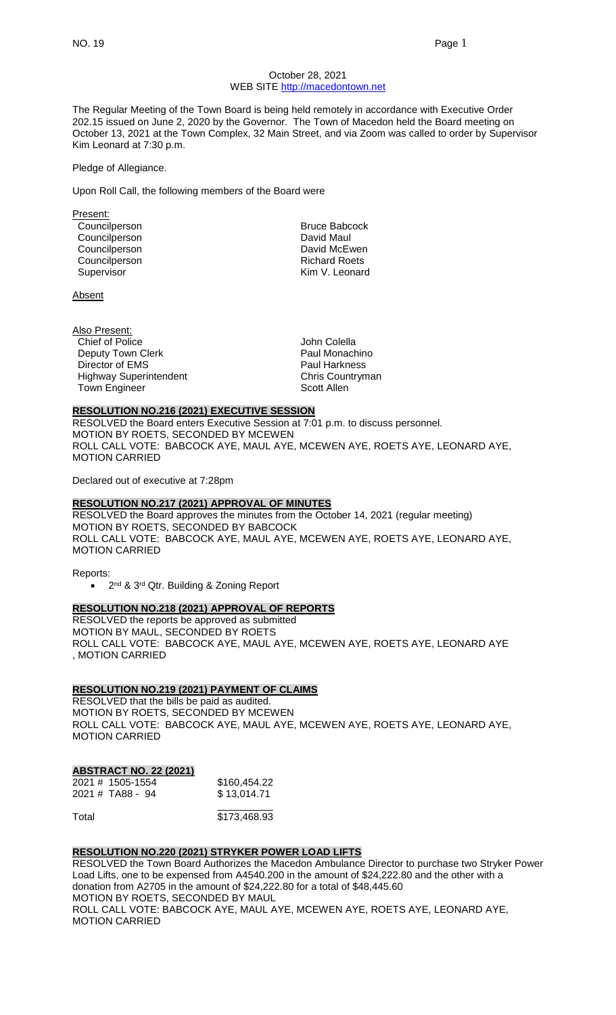## October 28, 2021 WEB SITE [http://macedontown.net](http://macedontown.net/)

The Regular Meeting of the Town Board is being held remotely in accordance with Executive Order 202.15 issued on June 2, 2020 by the Governor. The Town of Macedon held the Board meeting on October 13, 2021 at the Town Complex, 32 Main Street, and via Zoom was called to order by Supervisor Kim Leonard at 7:30 p.m.

#### Pledge of Allegiance.

Upon Roll Call, the following members of the Board were

Present: Councilperson **Bruce Babcock** Councilperson **David Maul** Councilperson **David McEwen** Councilperson **Richard Roets** 

**Absent** 

Also Present: Chief of Police John Colella Deputy Town Clerk **Paul Monachino** Director of EMS<br>
Highway Superintendent<br>
Highway Superintendent<br>
Paul Harkness Highway Superintendent Town Engineer Scott Allen

Supervisor **Kim V. Leonard** 

#### **RESOLUTION NO.216 (2021) EXECUTIVE SESSION**

RESOLVED the Board enters Executive Session at 7:01 p.m. to discuss personnel. MOTION BY ROETS, SECONDED BY MCEWEN ROLL CALL VOTE: BABCOCK AYE, MAUL AYE, MCEWEN AYE, ROETS AYE, LEONARD AYE, MOTION CARRIED

Declared out of executive at 7:28pm

# **RESOLUTION NO.217 (2021) APPROVAL OF MINUTES**

RESOLVED the Board approves the minutes from the October 14, 2021 (regular meeting) MOTION BY ROETS, SECONDED BY BABCOCK ROLL CALL VOTE: BABCOCK AYE, MAUL AYE, MCEWEN AYE, ROETS AYE, LEONARD AYE, MOTION CARRIED

Reports:

• 2<sup>nd</sup> & 3<sup>rd</sup> Qtr. Building & Zoning Report

#### **RESOLUTION NO.218 (2021) APPROVAL OF REPORTS**

RESOLVED the reports be approved as submitted MOTION BY MAUL, SECONDED BY ROETS ROLL CALL VOTE: BABCOCK AYE, MAUL AYE, MCEWEN AYE, ROETS AYE, LEONARD AYE , MOTION CARRIED

#### **RESOLUTION NO.219 (2021) PAYMENT OF CLAIMS**

RESOLVED that the bills be paid as audited. MOTION BY ROETS, SECONDED BY MCEWEN ROLL CALL VOTE: BABCOCK AYE, MAUL AYE, MCEWEN AYE, ROETS AYE, LEONARD AYE, MOTION CARRIED

# **ABSTRACT NO. 22 (2021)**

| 2021 # 1505-1554 | \$160,454.22 |
|------------------|--------------|
| 2021 # TA88 - 94 | \$13,014.71  |
|                  |              |

Total \$173,468.93

# **RESOLUTION NO.220 (2021) STRYKER POWER LOAD LIFTS**

RESOLVED the Town Board Authorizes the Macedon Ambulance Director to purchase two Stryker Power Load Lifts, one to be expensed from A4540.200 in the amount of \$24,222.80 and the other with a donation from A2705 in the amount of \$24,222.80 for a total of \$48,445.60 MOTION BY ROETS, SECONDED BY MAUL ROLL CALL VOTE: BABCOCK AYE, MAUL AYE, MCEWEN AYE, ROETS AYE, LEONARD AYE,

MOTION CARRIED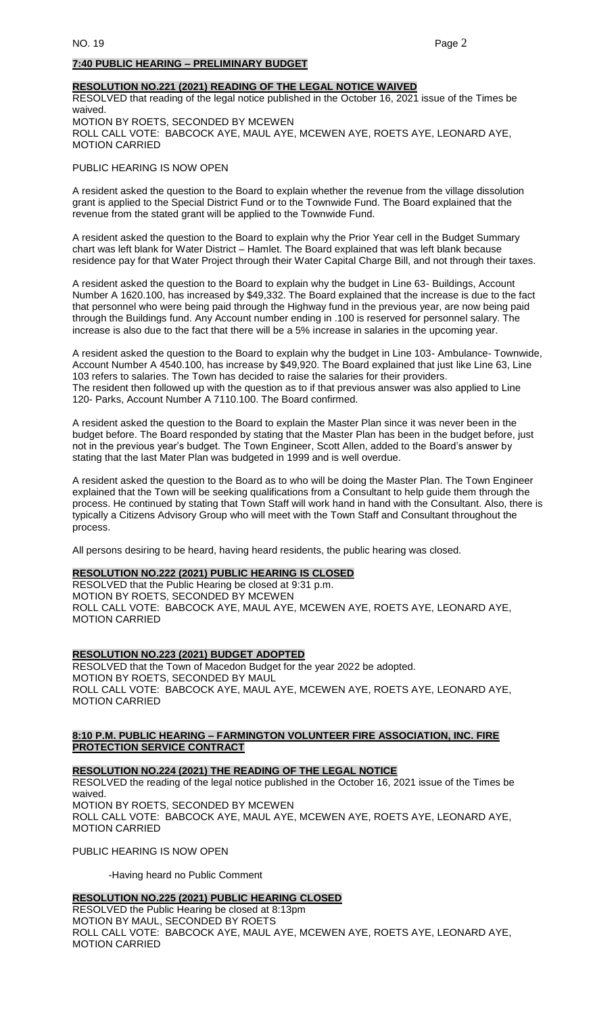## **7:40 PUBLIC HEARING – PRELIMINARY BUDGET**

## **RESOLUTION NO.221 (2021) READING OF THE LEGAL NOTICE WAIVED**

RESOLVED that reading of the legal notice published in the October 16, 2021 issue of the Times be waived. MOTION BY ROETS, SECONDED BY MCEWEN ROLL CALL VOTE: BABCOCK AYE, MAUL AYE, MCEWEN AYE, ROETS AYE, LEONARD AYE, MOTION CARRIED

#### PUBLIC HEARING IS NOW OPEN

A resident asked the question to the Board to explain whether the revenue from the village dissolution grant is applied to the Special District Fund or to the Townwide Fund. The Board explained that the revenue from the stated grant will be applied to the Townwide Fund.

A resident asked the question to the Board to explain why the Prior Year cell in the Budget Summary chart was left blank for Water District – Hamlet. The Board explained that was left blank because residence pay for that Water Project through their Water Capital Charge Bill, and not through their taxes.

A resident asked the question to the Board to explain why the budget in Line 63- Buildings, Account Number A 1620.100, has increased by \$49,332. The Board explained that the increase is due to the fact that personnel who were being paid through the Highway fund in the previous year, are now being paid through the Buildings fund. Any Account number ending in .100 is reserved for personnel salary. The increase is also due to the fact that there will be a 5% increase in salaries in the upcoming year.

A resident asked the question to the Board to explain why the budget in Line 103- Ambulance- Townwide, Account Number A 4540.100, has increase by \$49,920. The Board explained that just like Line 63, Line 103 refers to salaries. The Town has decided to raise the salaries for their providers. The resident then followed up with the question as to if that previous answer was also applied to Line 120- Parks, Account Number A 7110.100. The Board confirmed.

A resident asked the question to the Board to explain the Master Plan since it was never been in the budget before. The Board responded by stating that the Master Plan has been in the budget before, just not in the previous year's budget. The Town Engineer, Scott Allen, added to the Board's answer by stating that the last Mater Plan was budgeted in 1999 and is well overdue.

A resident asked the question to the Board as to who will be doing the Master Plan. The Town Engineer explained that the Town will be seeking qualifications from a Consultant to help guide them through the process. He continued by stating that Town Staff will work hand in hand with the Consultant. Also, there is typically a Citizens Advisory Group who will meet with the Town Staff and Consultant throughout the process.

All persons desiring to be heard, having heard residents, the public hearing was closed.

## **RESOLUTION NO.222 (2021) PUBLIC HEARING IS CLOSED**

RESOLVED that the Public Hearing be closed at 9:31 p.m. MOTION BY ROETS, SECONDED BY MCEWEN ROLL CALL VOTE: BABCOCK AYE, MAUL AYE, MCEWEN AYE, ROETS AYE, LEONARD AYE, MOTION CARRIED

**RESOLUTION NO.223 (2021) BUDGET ADOPTED**

RESOLVED that the Town of Macedon Budget for the year 2022 be adopted. MOTION BY ROETS, SECONDED BY MAUL ROLL CALL VOTE: BABCOCK AYE, MAUL AYE, MCEWEN AYE, ROETS AYE, LEONARD AYE, MOTION CARRIED

# **8:10 P.M. PUBLIC HEARING – FARMINGTON VOLUNTEER FIRE ASSOCIATION, INC. FIRE PROTECTION SERVICE CONTRACT**

**RESOLUTION NO.224 (2021) THE READING OF THE LEGAL NOTICE**

RESOLVED the reading of the legal notice published in the October 16, 2021 issue of the Times be waived. MOTION BY ROETS, SECONDED BY MCEWEN ROLL CALL VOTE: BABCOCK AYE, MAUL AYE, MCEWEN AYE, ROETS AYE, LEONARD AYE, MOTION CARRIED

PUBLIC HEARING IS NOW OPEN

-Having heard no Public Comment

#### **RESOLUTION NO.225 (2021) PUBLIC HEARING CLOSED**

RESOLVED the Public Hearing be closed at 8:13pm MOTION BY MAUL, SECONDED BY ROETS ROLL CALL VOTE: BABCOCK AYE, MAUL AYE, MCEWEN AYE, ROETS AYE, LEONARD AYE, MOTION CARRIED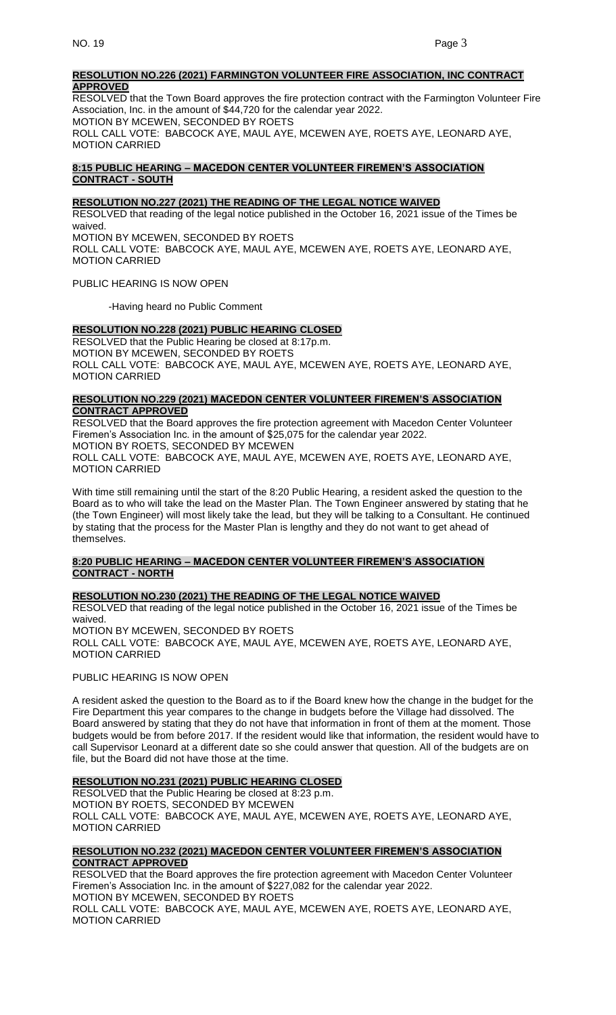#### **RESOLUTION NO.226 (2021) FARMINGTON VOLUNTEER FIRE ASSOCIATION, INC CONTRACT APPROVED**

RESOLVED that the Town Board approves the fire protection contract with the Farmington Volunteer Fire Association, Inc. in the amount of \$44,720 for the calendar year 2022. MOTION BY MCEWEN, SECONDED BY ROETS ROLL CALL VOTE: BABCOCK AYE, MAUL AYE, MCEWEN AYE, ROETS AYE, LEONARD AYE, MOTION CARRIED

# **8:15 PUBLIC HEARING – MACEDON CENTER VOLUNTEER FIREMEN'S ASSOCIATION CONTRACT - SOUTH**

## **RESOLUTION NO.227 (2021) THE READING OF THE LEGAL NOTICE WAIVED**

RESOLVED that reading of the legal notice published in the October 16, 2021 issue of the Times be waived. MOTION BY MCEWEN, SECONDED BY ROETS

ROLL CALL VOTE: BABCOCK AYE, MAUL AYE, MCEWEN AYE, ROETS AYE, LEONARD AYE, MOTION CARRIED

PUBLIC HEARING IS NOW OPEN

-Having heard no Public Comment

# **RESOLUTION NO.228 (2021) PUBLIC HEARING CLOSED**

RESOLVED that the Public Hearing be closed at 8:17p.m. MOTION BY MCEWEN, SECONDED BY ROETS ROLL CALL VOTE: BABCOCK AYE, MAUL AYE, MCEWEN AYE, ROETS AYE, LEONARD AYE, MOTION CARRIED

## **RESOLUTION NO.229 (2021) MACEDON CENTER VOLUNTEER FIREMEN'S ASSOCIATION CONTRACT APPROVED**

RESOLVED that the Board approves the fire protection agreement with Macedon Center Volunteer Firemen's Association Inc. in the amount of \$25,075 for the calendar year 2022. MOTION BY ROETS, SECONDED BY MCEWEN

ROLL CALL VOTE: BABCOCK AYE, MAUL AYE, MCEWEN AYE, ROETS AYE, LEONARD AYE, MOTION CARRIED

With time still remaining until the start of the 8:20 Public Hearing, a resident asked the question to the Board as to who will take the lead on the Master Plan. The Town Engineer answered by stating that he (the Town Engineer) will most likely take the lead, but they will be talking to a Consultant. He continued by stating that the process for the Master Plan is lengthy and they do not want to get ahead of themselves.

# **8:20 PUBLIC HEARING – MACEDON CENTER VOLUNTEER FIREMEN'S ASSOCIATION CONTRACT - NORTH**

# **RESOLUTION NO.230 (2021) THE READING OF THE LEGAL NOTICE WAIVED**

RESOLVED that reading of the legal notice published in the October 16, 2021 issue of the Times be waived. MOTION BY MCEWEN, SECONDED BY ROETS

ROLL CALL VOTE: BABCOCK AYE, MAUL AYE, MCEWEN AYE, ROETS AYE, LEONARD AYE, MOTION CARRIED

# PUBLIC HEARING IS NOW OPEN

A resident asked the question to the Board as to if the Board knew how the change in the budget for the Fire Department this year compares to the change in budgets before the Village had dissolved. The Board answered by stating that they do not have that information in front of them at the moment. Those budgets would be from before 2017. If the resident would like that information, the resident would have to call Supervisor Leonard at a different date so she could answer that question. All of the budgets are on file, but the Board did not have those at the time.

**RESOLUTION NO.231 (2021) PUBLIC HEARING CLOSED** RESOLVED that the Public Hearing be closed at 8:23 p.m. MOTION BY ROETS, SECONDED BY MCEWEN ROLL CALL VOTE: BABCOCK AYE, MAUL AYE, MCEWEN AYE, ROETS AYE, LEONARD AYE, MOTION CARRIED

# **RESOLUTION NO.232 (2021) MACEDON CENTER VOLUNTEER FIREMEN'S ASSOCIATION CONTRACT APPROVED**

RESOLVED that the Board approves the fire protection agreement with Macedon Center Volunteer Firemen's Association Inc. in the amount of \$227,082 for the calendar year 2022. MOTION BY MCEWEN, SECONDED BY ROETS

ROLL CALL VOTE: BABCOCK AYE, MAUL AYE, MCEWEN AYE, ROETS AYE, LEONARD AYE, MOTION CARRIED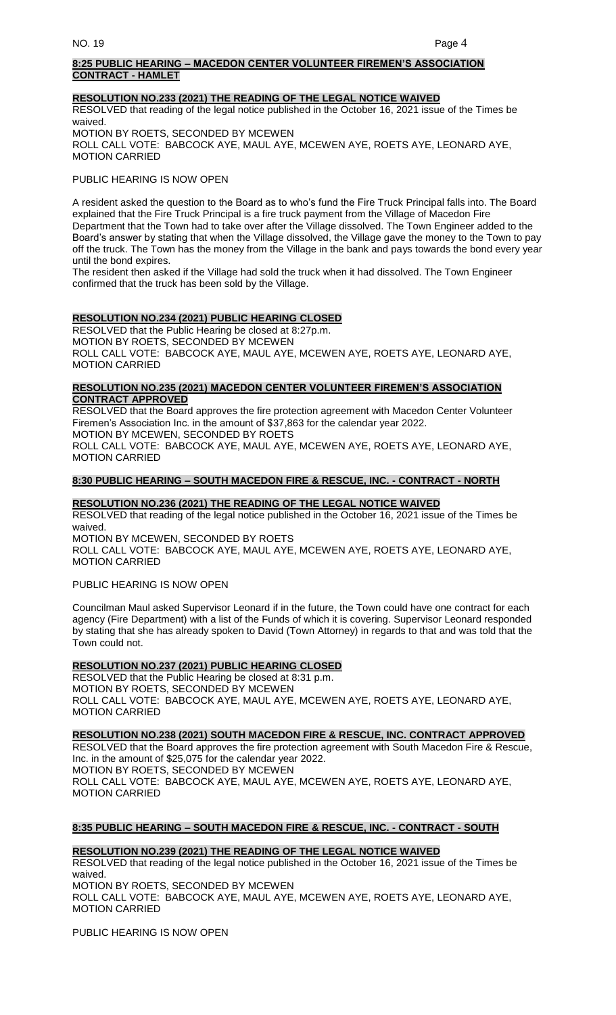## **8:25 PUBLIC HEARING – MACEDON CENTER VOLUNTEER FIREMEN'S ASSOCIATION CONTRACT - HAMLET**

#### **RESOLUTION NO.233 (2021) THE READING OF THE LEGAL NOTICE WAIVED**

RESOLVED that reading of the legal notice published in the October 16, 2021 issue of the Times be waived.

MOTION BY ROETS, SECONDED BY MCEWEN ROLL CALL VOTE: BABCOCK AYE, MAUL AYE, MCEWEN AYE, ROETS AYE, LEONARD AYE, MOTION CARRIED

PUBLIC HEARING IS NOW OPEN

A resident asked the question to the Board as to who's fund the Fire Truck Principal falls into. The Board explained that the Fire Truck Principal is a fire truck payment from the Village of Macedon Fire Department that the Town had to take over after the Village dissolved. The Town Engineer added to the Board's answer by stating that when the Village dissolved, the Village gave the money to the Town to pay off the truck. The Town has the money from the Village in the bank and pays towards the bond every year until the bond expires.

The resident then asked if the Village had sold the truck when it had dissolved. The Town Engineer confirmed that the truck has been sold by the Village.

# **RESOLUTION NO.234 (2021) PUBLIC HEARING CLOSED**

RESOLVED that the Public Hearing be closed at 8:27p.m. MOTION BY ROETS, SECONDED BY MCEWEN ROLL CALL VOTE: BABCOCK AYE, MAUL AYE, MCEWEN AYE, ROETS AYE, LEONARD AYE, MOTION CARRIED

## **RESOLUTION NO.235 (2021) MACEDON CENTER VOLUNTEER FIREMEN'S ASSOCIATION CONTRACT APPROVED**

RESOLVED that the Board approves the fire protection agreement with Macedon Center Volunteer Firemen's Association Inc. in the amount of \$37,863 for the calendar year 2022. MOTION BY MCEWEN, SECONDED BY ROETS ROLL CALL VOTE: BABCOCK AYE, MAUL AYE, MCEWEN AYE, ROETS AYE, LEONARD AYE, MOTION CARRIED

# **8:30 PUBLIC HEARING – SOUTH MACEDON FIRE & RESCUE, INC. - CONTRACT - NORTH**

# **RESOLUTION NO.236 (2021) THE READING OF THE LEGAL NOTICE WAIVED**

RESOLVED that reading of the legal notice published in the October 16, 2021 issue of the Times be waived.

MOTION BY MCEWEN, SECONDED BY ROETS ROLL CALL VOTE: BABCOCK AYE, MAUL AYE, MCEWEN AYE, ROETS AYE, LEONARD AYE, MOTION CARRIED

PUBLIC HEARING IS NOW OPEN

Councilman Maul asked Supervisor Leonard if in the future, the Town could have one contract for each agency (Fire Department) with a list of the Funds of which it is covering. Supervisor Leonard responded by stating that she has already spoken to David (Town Attorney) in regards to that and was told that the Town could not.

# **RESOLUTION NO.237 (2021) PUBLIC HEARING CLOSED**

RESOLVED that the Public Hearing be closed at 8:31 p.m. MOTION BY ROETS, SECONDED BY MCEWEN ROLL CALL VOTE: BABCOCK AYE, MAUL AYE, MCEWEN AYE, ROETS AYE, LEONARD AYE, MOTION CARRIED

**RESOLUTION NO.238 (2021) SOUTH MACEDON FIRE & RESCUE, INC. CONTRACT APPROVED**

RESOLVED that the Board approves the fire protection agreement with South Macedon Fire & Rescue, Inc. in the amount of \$25,075 for the calendar year 2022. MOTION BY ROETS, SECONDED BY MCEWEN

ROLL CALL VOTE: BABCOCK AYE, MAUL AYE, MCEWEN AYE, ROETS AYE, LEONARD AYE, MOTION CARRIED

# **8:35 PUBLIC HEARING – SOUTH MACEDON FIRE & RESCUE, INC. - CONTRACT - SOUTH**

# **RESOLUTION NO.239 (2021) THE READING OF THE LEGAL NOTICE WAIVED**

RESOLVED that reading of the legal notice published in the October 16, 2021 issue of the Times be waived. MOTION BY ROETS, SECONDED BY MCEWEN

ROLL CALL VOTE: BABCOCK AYE, MAUL AYE, MCEWEN AYE, ROETS AYE, LEONARD AYE, MOTION CARRIED

PUBLIC HEARING IS NOW OPEN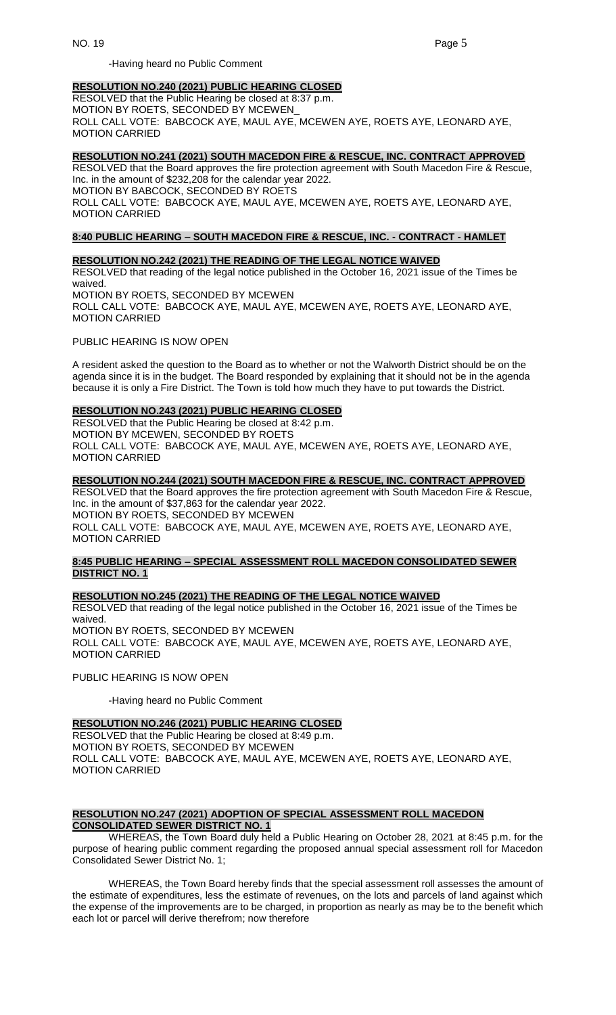-Having heard no Public Comment

#### **RESOLUTION NO.240 (2021) PUBLIC HEARING CLOSED**

RESOLVED that the Public Hearing be closed at 8:37 p.m. MOTION BY ROETS, SECONDED BY MCEWEN ROLL CALL VOTE: BABCOCK AYE, MAUL AYE, MCEWEN AYE, ROETS AYE, LEONARD AYE, MOTION CARRIED

#### **RESOLUTION NO.241 (2021) SOUTH MACEDON FIRE & RESCUE, INC. CONTRACT APPROVED**

RESOLVED that the Board approves the fire protection agreement with South Macedon Fire & Rescue, Inc. in the amount of \$232,208 for the calendar year 2022. MOTION BY BABCOCK, SECONDED BY ROETS

ROLL CALL VOTE: BABCOCK AYE, MAUL AYE, MCEWEN AYE, ROETS AYE, LEONARD AYE, MOTION CARRIED

# **8:40 PUBLIC HEARING – SOUTH MACEDON FIRE & RESCUE, INC. - CONTRACT - HAMLET**

#### **RESOLUTION NO.242 (2021) THE READING OF THE LEGAL NOTICE WAIVED**

RESOLVED that reading of the legal notice published in the October 16, 2021 issue of the Times be waived.

MOTION BY ROETS, SECONDED BY MCEWEN ROLL CALL VOTE: BABCOCK AYE, MAUL AYE, MCEWEN AYE, ROETS AYE, LEONARD AYE, MOTION CARRIED

PUBLIC HEARING IS NOW OPEN

A resident asked the question to the Board as to whether or not the Walworth District should be on the agenda since it is in the budget. The Board responded by explaining that it should not be in the agenda because it is only a Fire District. The Town is told how much they have to put towards the District.

## **RESOLUTION NO.243 (2021) PUBLIC HEARING CLOSED**

RESOLVED that the Public Hearing be closed at 8:42 p.m. MOTION BY MCEWEN, SECONDED BY ROETS ROLL CALL VOTE: BABCOCK AYE, MAUL AYE, MCEWEN AYE, ROETS AYE, LEONARD AYE, MOTION CARRIED

#### **RESOLUTION NO.244 (2021) SOUTH MACEDON FIRE & RESCUE, INC. CONTRACT APPROVED**

RESOLVED that the Board approves the fire protection agreement with South Macedon Fire & Rescue, Inc. in the amount of \$37,863 for the calendar year 2022. MOTION BY ROETS, SECONDED BY MCEWEN ROLL CALL VOTE: BABCOCK AYE, MAUL AYE, MCEWEN AYE, ROETS AYE, LEONARD AYE, MOTION CARRIED

# **8:45 PUBLIC HEARING – SPECIAL ASSESSMENT ROLL MACEDON CONSOLIDATED SEWER DISTRICT NO. 1**

# **RESOLUTION NO.245 (2021) THE READING OF THE LEGAL NOTICE WAIVED**

RESOLVED that reading of the legal notice published in the October 16, 2021 issue of the Times be waived. MOTION BY ROETS, SECONDED BY MCEWEN ROLL CALL VOTE: BABCOCK AYE, MAUL AYE, MCEWEN AYE, ROETS AYE, LEONARD AYE, MOTION CARRIED

PUBLIC HEARING IS NOW OPEN

-Having heard no Public Comment

# **RESOLUTION NO.246 (2021) PUBLIC HEARING CLOSED**

RESOLVED that the Public Hearing be closed at 8:49 p.m. MOTION BY ROETS, SECONDED BY MCEWEN ROLL CALL VOTE: BABCOCK AYE, MAUL AYE, MCEWEN AYE, ROETS AYE, LEONARD AYE, MOTION CARRIED

#### **RESOLUTION NO.247 (2021) ADOPTION OF SPECIAL ASSESSMENT ROLL MACEDON CONSOLIDATED SEWER DISTRICT NO. 1**

WHEREAS, the Town Board duly held a Public Hearing on October 28, 2021 at 8:45 p.m. for the purpose of hearing public comment regarding the proposed annual special assessment roll for Macedon Consolidated Sewer District No. 1;

WHEREAS, the Town Board hereby finds that the special assessment roll assesses the amount of the estimate of expenditures, less the estimate of revenues, on the lots and parcels of land against which the expense of the improvements are to be charged, in proportion as nearly as may be to the benefit which each lot or parcel will derive therefrom; now therefore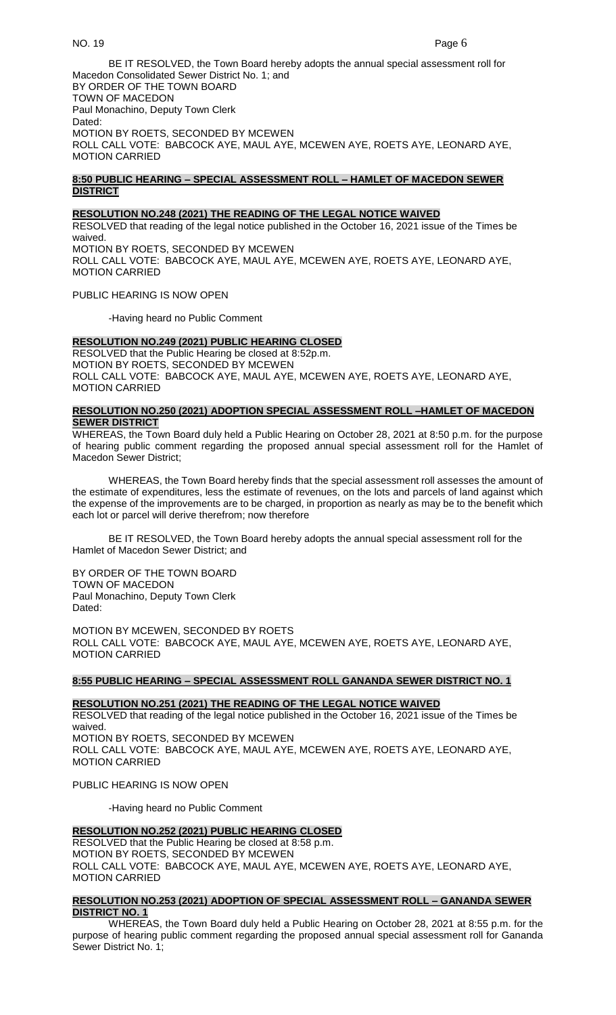BE IT RESOLVED, the Town Board hereby adopts the annual special assessment roll for Macedon Consolidated Sewer District No. 1; and BY ORDER OF THE TOWN BOARD TOWN OF MACEDON Paul Monachino, Deputy Town Clerk Dated: MOTION BY ROETS, SECONDED BY MCEWEN ROLL CALL VOTE: BABCOCK AYE, MAUL AYE, MCEWEN AYE, ROETS AYE, LEONARD AYE, MOTION CARRIED

## **8:50 PUBLIC HEARING – SPECIAL ASSESSMENT ROLL – HAMLET OF MACEDON SEWER DISTRICT**

# **RESOLUTION NO.248 (2021) THE READING OF THE LEGAL NOTICE WAIVED**

RESOLVED that reading of the legal notice published in the October 16, 2021 issue of the Times be waived. MOTION BY ROETS, SECONDED BY MCEWEN ROLL CALL VOTE: BABCOCK AYE, MAUL AYE, MCEWEN AYE, ROETS AYE, LEONARD AYE, MOTION CARRIED

PUBLIC HEARING IS NOW OPEN

-Having heard no Public Comment

# **RESOLUTION NO.249 (2021) PUBLIC HEARING CLOSED**

RESOLVED that the Public Hearing be closed at 8:52p.m. MOTION BY ROETS, SECONDED BY MCEWEN ROLL CALL VOTE: BABCOCK AYE, MAUL AYE, MCEWEN AYE, ROETS AYE, LEONARD AYE, MOTION CARRIED

## **RESOLUTION NO.250 (2021) ADOPTION SPECIAL ASSESSMENT ROLL –HAMLET OF MACEDON SEWER DISTRICT**

WHEREAS, the Town Board duly held a Public Hearing on October 28, 2021 at 8:50 p.m. for the purpose of hearing public comment regarding the proposed annual special assessment roll for the Hamlet of Macedon Sewer District;

WHEREAS, the Town Board hereby finds that the special assessment roll assesses the amount of the estimate of expenditures, less the estimate of revenues, on the lots and parcels of land against which the expense of the improvements are to be charged, in proportion as nearly as may be to the benefit which each lot or parcel will derive therefrom; now therefore

BE IT RESOLVED, the Town Board hereby adopts the annual special assessment roll for the Hamlet of Macedon Sewer District; and

BY ORDER OF THE TOWN BOARD TOWN OF MACEDON Paul Monachino, Deputy Town Clerk Dated:

MOTION BY MCEWEN, SECONDED BY ROETS ROLL CALL VOTE: BABCOCK AYE, MAUL AYE, MCEWEN AYE, ROETS AYE, LEONARD AYE, MOTION CARRIED

## **8:55 PUBLIC HEARING – SPECIAL ASSESSMENT ROLL GANANDA SEWER DISTRICT NO. 1**

#### **RESOLUTION NO.251 (2021) THE READING OF THE LEGAL NOTICE WAIVED**

RESOLVED that reading of the legal notice published in the October 16, 2021 issue of the Times be waived. MOTION BY ROETS, SECONDED BY MCEWEN ROLL CALL VOTE: BABCOCK AYE, MAUL AYE, MCEWEN AYE, ROETS AYE, LEONARD AYE, MOTION CARRIED

#### PUBLIC HEARING IS NOW OPEN

-Having heard no Public Comment

# **RESOLUTION NO.252 (2021) PUBLIC HEARING CLOSED**

RESOLVED that the Public Hearing be closed at 8:58 p.m. MOTION BY ROETS, SECONDED BY MCEWEN ROLL CALL VOTE: BABCOCK AYE, MAUL AYE, MCEWEN AYE, ROETS AYE, LEONARD AYE, MOTION CARRIED

## **RESOLUTION NO.253 (2021) ADOPTION OF SPECIAL ASSESSMENT ROLL – GANANDA SEWER DISTRICT NO. 1**

WHEREAS, the Town Board duly held a Public Hearing on October 28, 2021 at 8:55 p.m. for the purpose of hearing public comment regarding the proposed annual special assessment roll for Gananda Sewer District No. 1;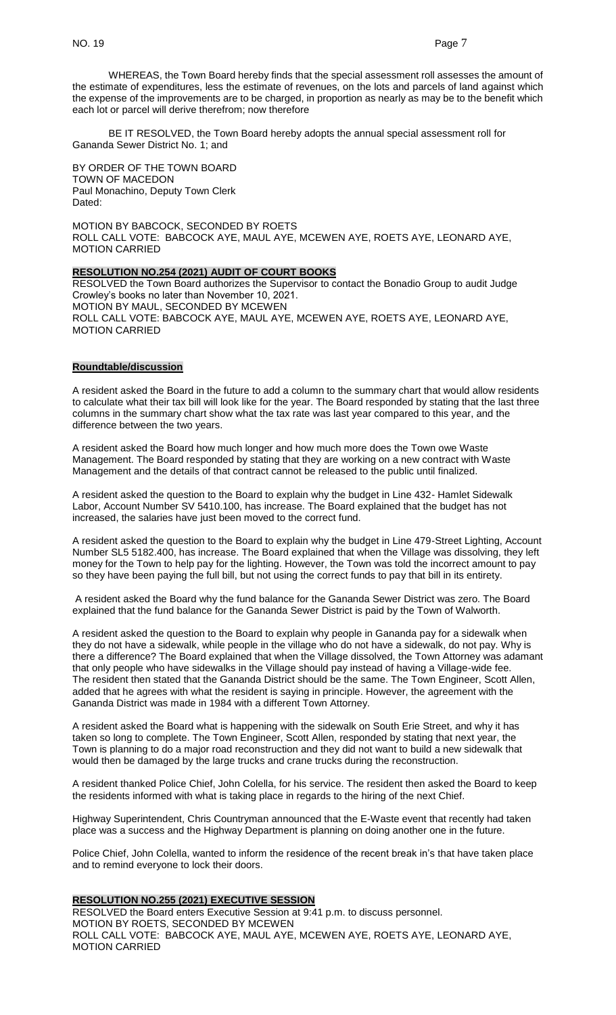WHEREAS, the Town Board hereby finds that the special assessment roll assesses the amount of the estimate of expenditures, less the estimate of revenues, on the lots and parcels of land against which the expense of the improvements are to be charged, in proportion as nearly as may be to the benefit which each lot or parcel will derive therefrom; now therefore

BE IT RESOLVED, the Town Board hereby adopts the annual special assessment roll for Gananda Sewer District No. 1; and

BY ORDER OF THE TOWN BOARD TOWN OF MACEDON Paul Monachino, Deputy Town Clerk Dated:

MOTION BY BABCOCK, SECONDED BY ROETS ROLL CALL VOTE: BABCOCK AYE, MAUL AYE, MCEWEN AYE, ROETS AYE, LEONARD AYE, MOTION CARRIED

#### **RESOLUTION NO.254 (2021) AUDIT OF COURT BOOKS**

RESOLVED the Town Board authorizes the Supervisor to contact the Bonadio Group to audit Judge Crowley's books no later than November 10, 2021. MOTION BY MAUL, SECONDED BY MCEWEN ROLL CALL VOTE: BABCOCK AYE, MAUL AYE, MCEWEN AYE, ROETS AYE, LEONARD AYE, MOTION CARRIED

# **Roundtable/discussion**

A resident asked the Board in the future to add a column to the summary chart that would allow residents to calculate what their tax bill will look like for the year. The Board responded by stating that the last three columns in the summary chart show what the tax rate was last year compared to this year, and the difference between the two years.

A resident asked the Board how much longer and how much more does the Town owe Waste Management. The Board responded by stating that they are working on a new contract with Waste Management and the details of that contract cannot be released to the public until finalized.

A resident asked the question to the Board to explain why the budget in Line 432- Hamlet Sidewalk Labor, Account Number SV 5410.100, has increase. The Board explained that the budget has not increased, the salaries have just been moved to the correct fund.

A resident asked the question to the Board to explain why the budget in Line 479-Street Lighting, Account Number SL5 5182.400, has increase. The Board explained that when the Village was dissolving, they left money for the Town to help pay for the lighting. However, the Town was told the incorrect amount to pay so they have been paying the full bill, but not using the correct funds to pay that bill in its entirety.

A resident asked the Board why the fund balance for the Gananda Sewer District was zero. The Board explained that the fund balance for the Gananda Sewer District is paid by the Town of Walworth.

A resident asked the question to the Board to explain why people in Gananda pay for a sidewalk when they do not have a sidewalk, while people in the village who do not have a sidewalk, do not pay. Why is there a difference? The Board explained that when the Village dissolved, the Town Attorney was adamant that only people who have sidewalks in the Village should pay instead of having a Village-wide fee. The resident then stated that the Gananda District should be the same. The Town Engineer, Scott Allen, added that he agrees with what the resident is saying in principle. However, the agreement with the Gananda District was made in 1984 with a different Town Attorney.

A resident asked the Board what is happening with the sidewalk on South Erie Street, and why it has taken so long to complete. The Town Engineer, Scott Allen, responded by stating that next year, the Town is planning to do a major road reconstruction and they did not want to build a new sidewalk that would then be damaged by the large trucks and crane trucks during the reconstruction.

A resident thanked Police Chief, John Colella, for his service. The resident then asked the Board to keep the residents informed with what is taking place in regards to the hiring of the next Chief.

Highway Superintendent, Chris Countryman announced that the E-Waste event that recently had taken place was a success and the Highway Department is planning on doing another one in the future.

Police Chief, John Colella, wanted to inform the residence of the recent break in's that have taken place and to remind everyone to lock their doors.

### **RESOLUTION NO.255 (2021) EXECUTIVE SESSION**

RESOLVED the Board enters Executive Session at 9:41 p.m. to discuss personnel. MOTION BY ROETS, SECONDED BY MCEWEN ROLL CALL VOTE: BABCOCK AYE, MAUL AYE, MCEWEN AYE, ROETS AYE, LEONARD AYE, MOTION CARRIED